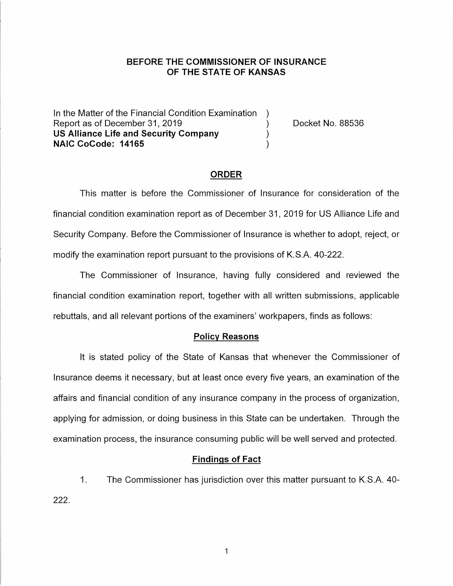# **BEFORE THE COMMISSIONER OF INSURANCE OF THE STATE OF KANSAS**

In the Matter of the Financial Condition Examination ) Report as of December 31, 2019 (and the control of the Docket No. 88536) **US Alliance Life and Security Company** ) **NAIC CoCode: 14165** )

### **ORDER**

This matter is before the Commissioner of Insurance for consideration of the financial condition examination report as of December 31, 2019 for US Alliance Life and Security Company. Before the Commissioner of Insurance is whether to adopt, reject, or modify the examination report pursuant to the provisions of K.S.A. 40-222.

The Commissioner of Insurance, having fully considered and reviewed the financial condition examination report, together with all written submissions, applicable rebuttals, and all relevant portions of the examiners' workpapers, finds as follows:

#### **Policy Reasons**

It is stated policy of the State of Kansas that whenever the Commissioner of Insurance deems it necessary, but at least once every five years, an examination of the affairs and financial condition of any insurance company in the process of organization, applying for admission, or doing business in this State can be undertaken. Through the examination process, the insurance consuming public will be well served and protected.

#### **Findings of Fact**

1. The Commissioner has jurisdiction over this matter pursuant to K.S.A. 40- 222.

 $\mathbf 1$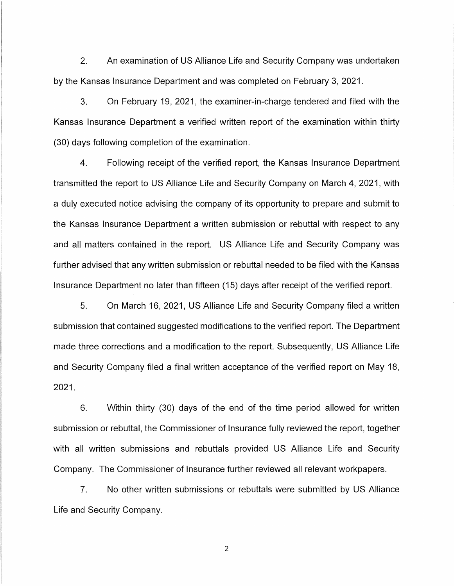2. An examination of US Alliance Life and Security Company was undertaken by the Kansas Insurance Department and was completed on February 3, 2021.

3. On February 19, 2021, the examiner-in-charge tendered and filed with the Kansas Insurance Department a verified written report of the examination within thirty (30) days following completion of the examination.

4. Following receipt of the verified report, the Kansas Insurance Department transmitted the report to US Alliance Life and Security Company on March 4, 2021, with a duly executed notice advising the company of its opportunity to prepare and submit to the Kansas Insurance Department a written submission or rebuttal with respect to any and all matters contained in the report. US Alliance Life and Security Company was further advised that any written submission or rebuttal needed to be filed with the Kansas Insurance Department no later than fifteen (15) days after receipt of the verified report.

5. On March 16, 2021, US Alliance Life and Security Company filed a written submission that contained suggested modifications to the verified report. The Department made three corrections and a modification to the report. Subsequently, US Alliance Life and Security Company filed a final written acceptance of the verified report on May 18, 2021.

6. Within thirty (30) days of the end of the time period allowed for written submission or rebuttal, the Commissioner of Insurance fully reviewed the report, together with all written submissions and rebuttals provided US Alliance Life and Security Company. The Commissioner of Insurance further reviewed all relevant workpapers.

7. No other written submissions or rebuttals were submitted by US Alliance Life and Security Company.

2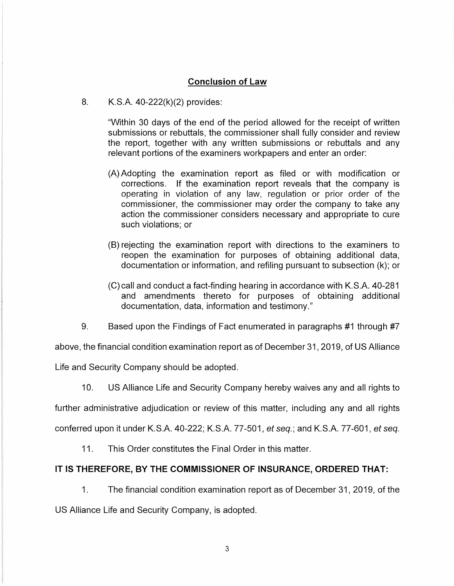# **Conclusion of Law**

8. K.S.A. 40-222(k)(2) provides:

"Within 30 days of the end of the period allowed for the receipt of written submissions or rebuttals, the commissioner shall fully consider and review the report, together with any written submissions or rebuttals and any relevant portions of the examiners workpapers and enter an order:

- (A) Adopting the examination report as filed or with modification or corrections. If the examination report reveals that the company is operating in violation of any law, regulation or prior order of the commissioner, the commissioner may order the company to take any action the commissioner considers necessary and appropriate to cure such violations; or
- (B) rejecting the examination report with directions to the examiners to reopen the examination for purposes of obtaining additional data, documentation or information, and refiling pursuant to subsection (k); or
- (C) call and conduct a fact-finding hearing in accordance with K.S.A. 40-281 and amendments thereto for purposes of obtaining additional documentation, data, information and testimony."
- 9. Based upon the Findings of Fact enumerated in paragraphs #1 through #7

above, the financial condition examination report as of December 31, 2019, of US Alliance

Life and Security Company should be adopted.

10. US Alliance Life and Security Company hereby waives any and all rights to

further administrative adjudication or review of this matter, including any and all rights

conferred upon it under K.S.A. 40-222; K.S.A. 77-501, et seq.; and K.S.A. 77-601, et seq.

11. This Order constitutes the Final Order in this matter.

### **IT IS THEREFORE, BY THE COMMISSIONER OF INSURANCE, ORDERED THAT:**

1. The financial condition examination report as of December 31, 2019, of the

US Alliance Life and Security Company, is adopted.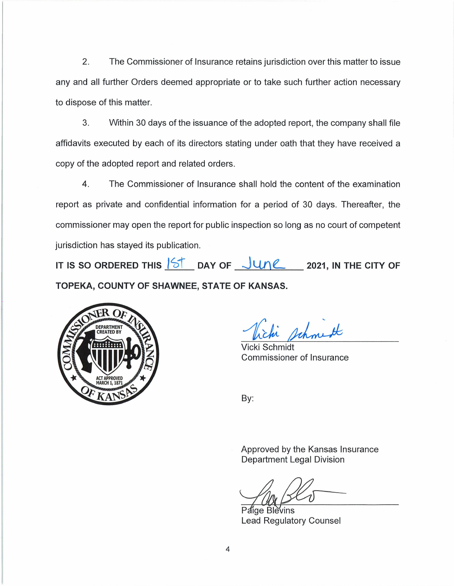2. The Commissioner of Insurance retains jurisdiction over this matter to issue any and all further Orders deemed appropriate or to take such further action necessary to dispose of this matter.

3. Within 30 days of the issuance of the adopted report, the company shall file affidavits executed by each of its directors stating under oath that they have received a copy of the adopted report and related orders.

4. The Commissioner of Insurance shall hold the content of the examination report as private and confidential information for a period of 30 days. Thereafter, the commissioner may open the report for public inspection so long as no court of competent jurisdiction has stayed its publication.

IT IS SO ORDERED THIS  $15$  DAY OF  $\frac{1}{10}$   $10$ <sup>2</sup> 2021, IN THE CITY OF **TOPEKA, COUNTY OF SHAWNEE, STATE OF KANSAS.** 



Vicki Schmidt Commissioner of Insurance

By:

Approved by the Kansas Insurance Department Legal Division

Paice Blevins Lead Regulatory Counsel